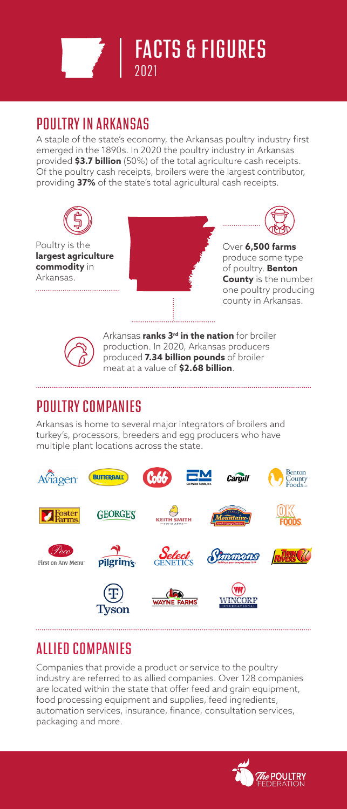

## POULTRY IN ARKANSAS

A staple of the state's economy, the Arkansas poultry industry first emerged in the 1890s. In 2020 the poultry industry in Arkansas provided **\$3.7 billion** (50%) of the total agriculture cash receipts. Of the poultry cash receipts, broilers were the largest contributor, providing **37%** of the state's total agricultural cash receipts.





Arkansas **ranks 3rd in the nation** for broiler production. In 2020, Arkansas producers produced **7.34 billion pounds** of broiler meat at a value of **\$2.68 billion**.

## POULTRY COMPANIES

Arkansas is home to several major integrators of broilers and turkey's, processors, breeders and egg producers who have multiple plant locations across the state.



# ALLIED COMPANIES

Companies that provide a product or service to the poultry industry are referred to as allied companies. Over 128 companies are located within the state that offer feed and grain equipment, food processing equipment and supplies, feed ingredients, automation services, insurance, finance, consultation services, packaging and more.